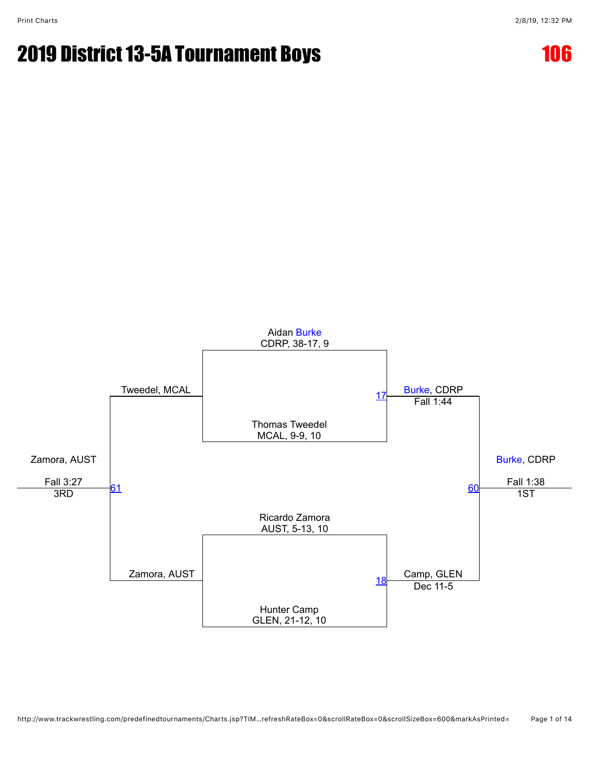

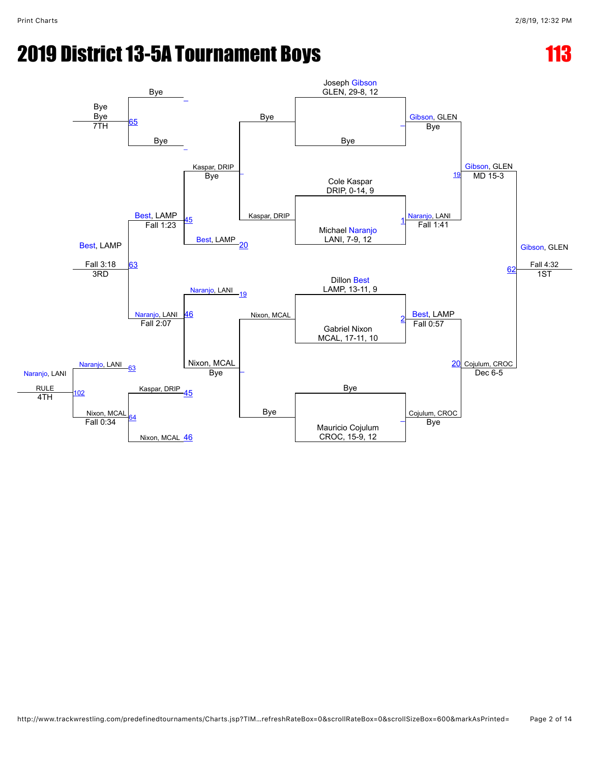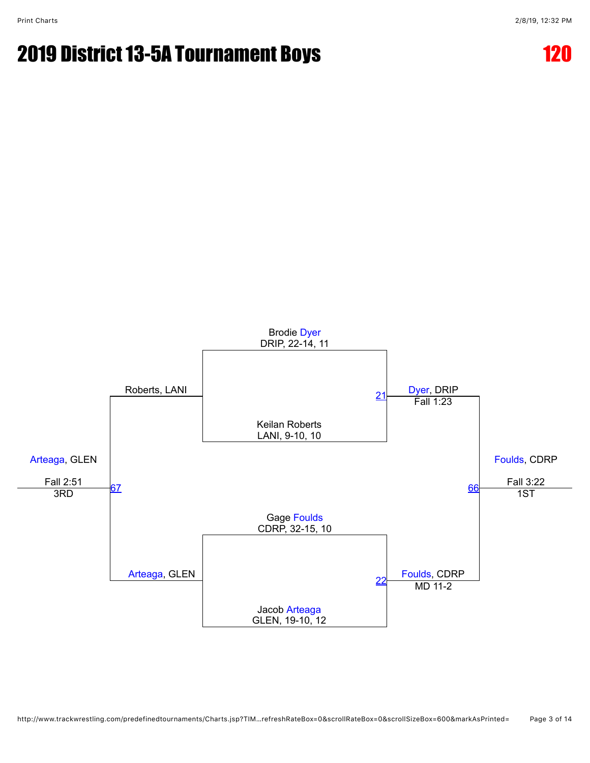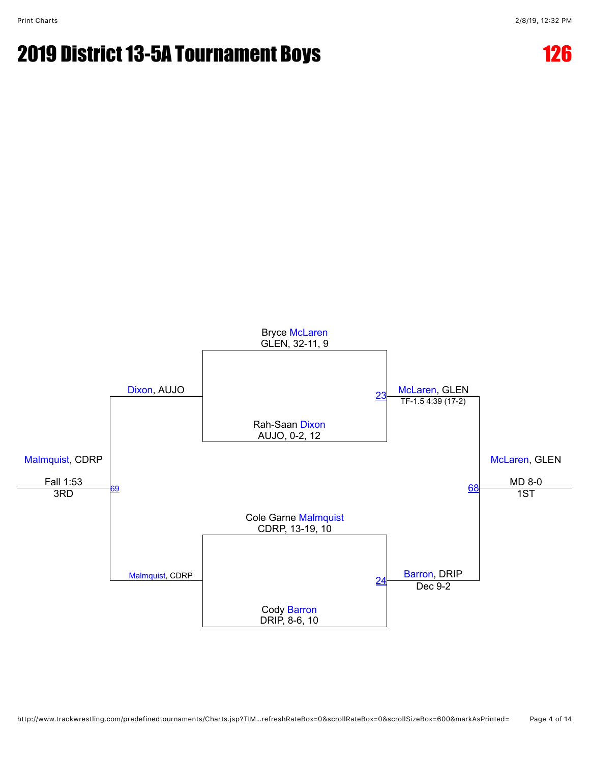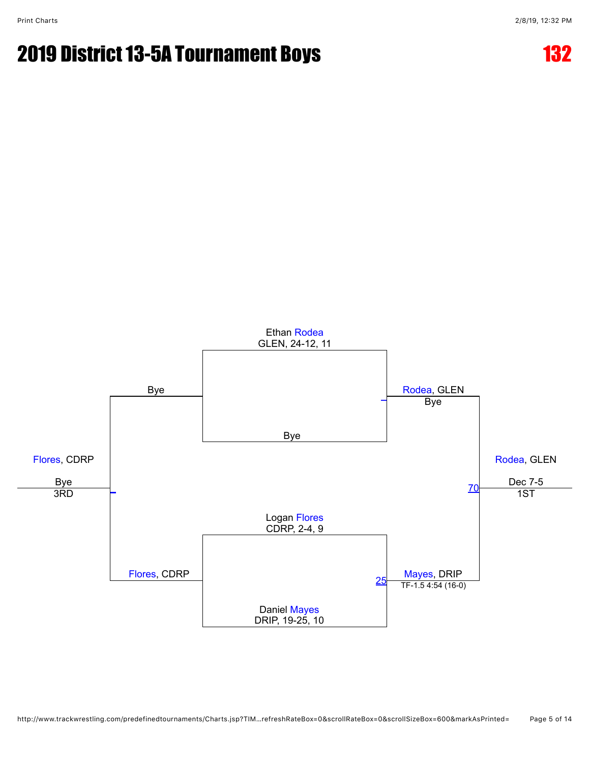

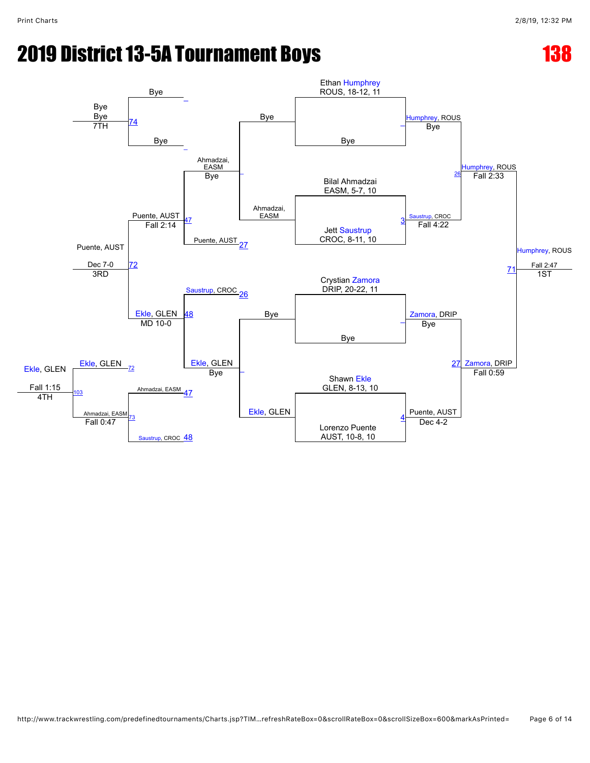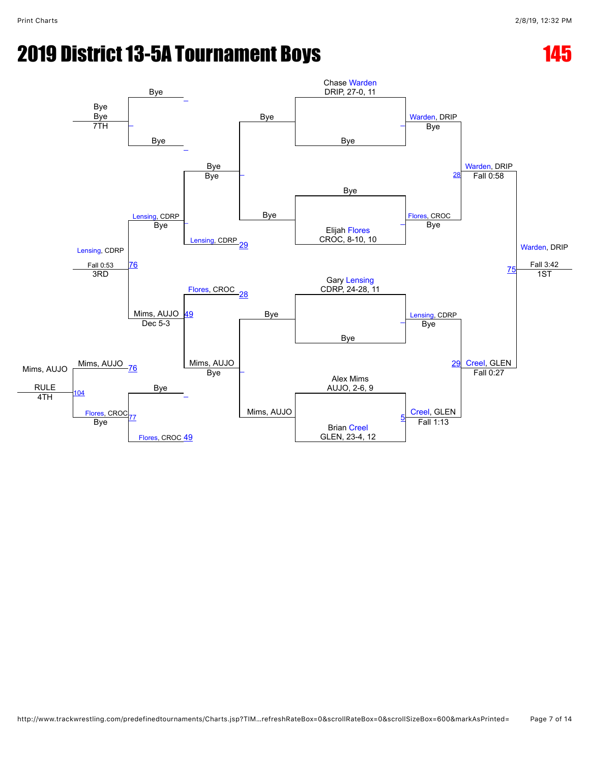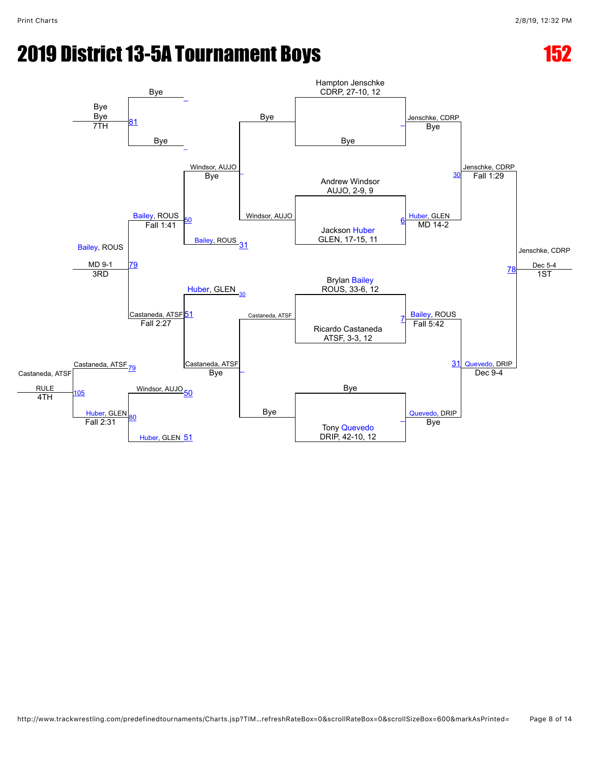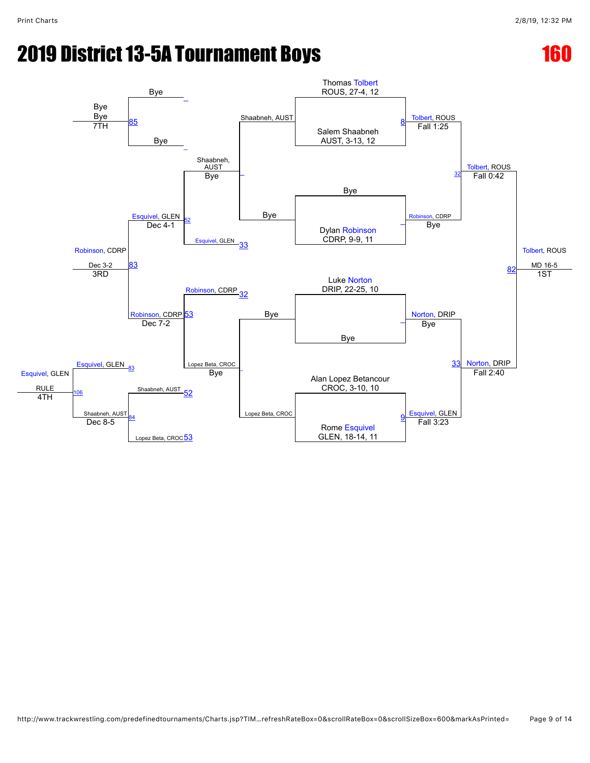# **2019 District 13-5A Tournament Boys 160 and 160 and 160 and 160 and 160 and 160 and 160 and 160 and 160 and 160**

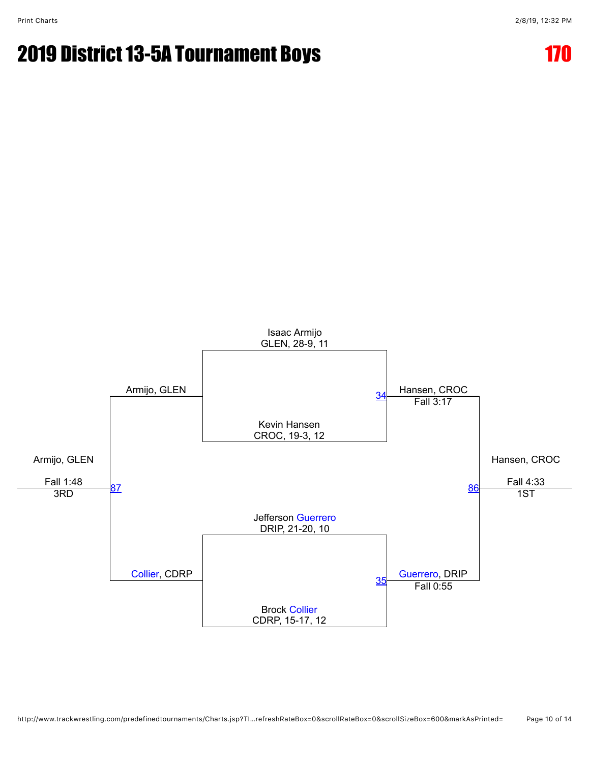

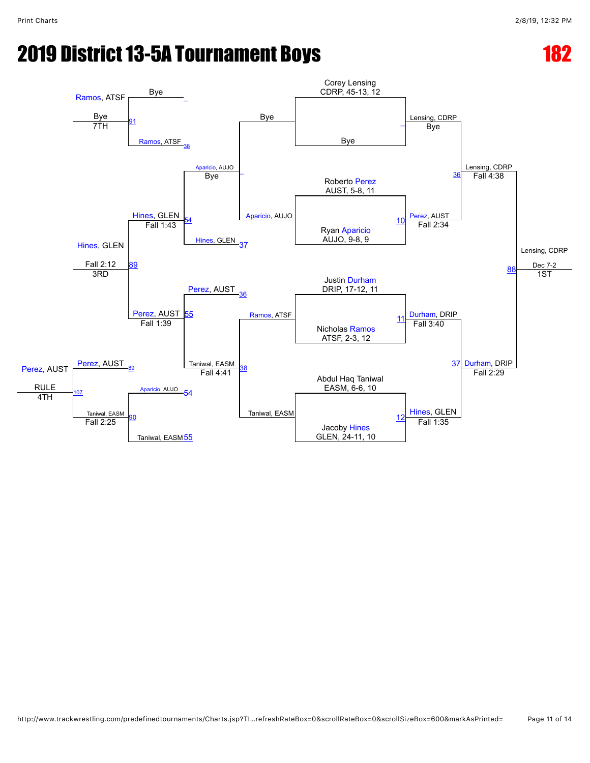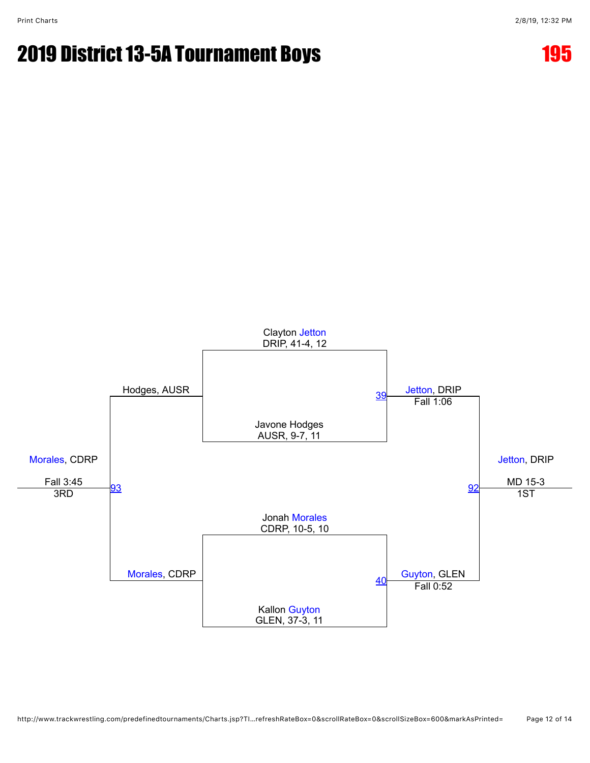

http://www.trackwrestling.com/predefinedtournaments/Charts.jsp?TI…refreshRateBox=0&scrollRateBox=0&scrollSizeBox=600&markAsPrinted= Page 12 of 14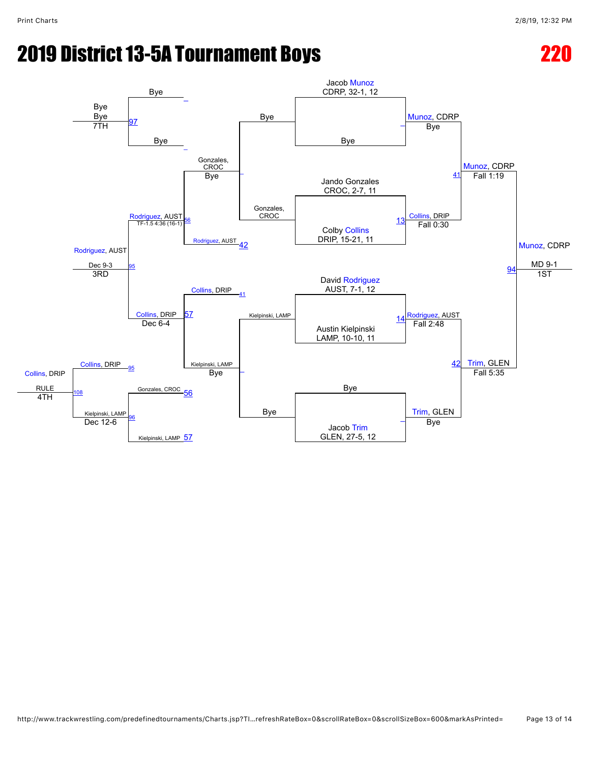